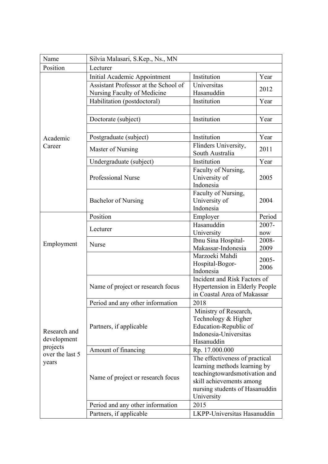| Name            | Silvia Malasari, S.Kep., Ns., MN     |                                                               |              |  |
|-----------------|--------------------------------------|---------------------------------------------------------------|--------------|--|
| Position        | Lecturer                             |                                                               |              |  |
|                 | Initial Academic Appointment         | Institution                                                   | Year         |  |
|                 | Assistant Professor at the School of | Universitas                                                   |              |  |
|                 | Nursing Faculty of Medicine          | Hasanuddin                                                    | 2012         |  |
|                 | Habilitation (postdoctoral)          | Institution                                                   | Year         |  |
|                 |                                      |                                                               |              |  |
|                 | Doctorate (subject)                  | Institution                                                   | Year         |  |
|                 |                                      |                                                               |              |  |
| Academic        | Postgraduate (subject)               | Institution                                                   | Year         |  |
| Career          | Master of Nursing                    | Flinders University,                                          | 2011         |  |
|                 |                                      | South Australia                                               |              |  |
|                 | Undergraduate (subject)              | Institution                                                   | Year         |  |
|                 |                                      | Faculty of Nursing,                                           |              |  |
|                 | Professional Nurse                   | University of                                                 | 2005         |  |
|                 |                                      | Indonesia                                                     |              |  |
|                 |                                      | Faculty of Nursing,                                           |              |  |
|                 | <b>Bachelor of Nursing</b>           | University of                                                 | 2004         |  |
|                 |                                      | Indonesia                                                     |              |  |
|                 | Position                             | Employer                                                      | Period       |  |
|                 | Lecturer                             | Hasanuddin                                                    | 2007-        |  |
|                 | Nurse                                | University<br>Ibnu Sina Hospital-                             | now<br>2008- |  |
| Employment      |                                      | Makassar-Indonesia                                            | 2009         |  |
|                 |                                      | Marzoeki Mahdi                                                |              |  |
|                 |                                      | Hospital-Bogor-                                               | 2005-        |  |
|                 |                                      | Indonesia                                                     | 2006         |  |
|                 |                                      | Incident and Risk Factors of                                  |              |  |
|                 | Name of project or research focus    | <b>Hypertension in Elderly People</b>                         |              |  |
|                 |                                      | in Coastal Area of Makassar                                   |              |  |
|                 | Period and any other information     | 2018                                                          |              |  |
|                 |                                      | Ministry of Research,                                         |              |  |
|                 | Partners, if applicable              | Technology & Higher                                           |              |  |
| Research and    |                                      | Education-Republic of                                         |              |  |
| development     |                                      | Indonesia-Universitas                                         |              |  |
| projects        |                                      | Hasanuddin                                                    |              |  |
| over the last 5 | Amount of financing                  | Rp. 17.000.000                                                |              |  |
| years           | Name of project or research focus    | The effectiveness of practical                                |              |  |
|                 |                                      | learning methods learning by<br>teachingtowardsmotivation and |              |  |
|                 |                                      | skill achievements among                                      |              |  |
|                 |                                      | nursing students of Hasanuddin                                |              |  |
|                 |                                      | University                                                    |              |  |
|                 | Period and any other information     | 2015                                                          |              |  |
|                 | Partners, if applicable              | LKPP-Universitas Hasanuddin                                   |              |  |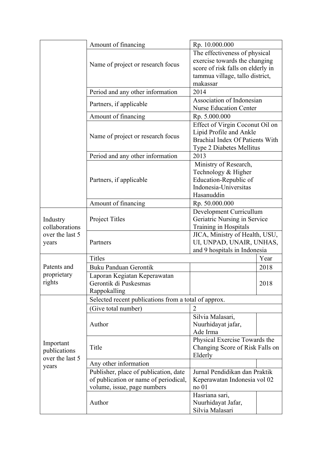|                 | Amount of financing                                  | Rp. 10.000.000                                          |      |
|-----------------|------------------------------------------------------|---------------------------------------------------------|------|
|                 |                                                      | The effectiveness of physical                           |      |
|                 |                                                      | exercise towards the changing                           |      |
|                 | Name of project or research focus                    | score of risk falls on elderly in                       |      |
|                 |                                                      | tammua village, tallo district,                         |      |
|                 |                                                      | makassar                                                |      |
|                 | Period and any other information                     | 2014                                                    |      |
|                 | Partners, if applicable                              | Association of Indonesian                               |      |
|                 |                                                      | <b>Nurse Education Center</b>                           |      |
|                 | Amount of financing                                  | Rp. 5.000.000                                           |      |
|                 | Name of project or research focus                    | Effect of Virgin Coconut Oil on                         |      |
|                 |                                                      | Lipid Profile and Ankle                                 |      |
|                 |                                                      | Brachial Index Of Patients With                         |      |
|                 |                                                      | Type 2 Diabetes Mellitus                                |      |
|                 | Period and any other information                     | 2013                                                    |      |
|                 |                                                      | Ministry of Research,                                   |      |
|                 | Partners, if applicable                              | Technology & Higher                                     |      |
|                 |                                                      | Education-Republic of                                   |      |
|                 |                                                      | Indonesia-Universitas<br>Hasanuddin                     |      |
|                 |                                                      |                                                         |      |
|                 | Amount of financing                                  | Rp. 50.000.000                                          |      |
| Industry        | Project Titles                                       | Development Curricullum                                 |      |
| collaborations  |                                                      | Geriatric Nursing in Service                            |      |
| over the last 5 |                                                      | Training in Hospitals<br>JICA, Ministry of Health, USU, |      |
| years           | Partners                                             | UI, UNPAD, UNAIR, UNHAS,                                |      |
|                 |                                                      | and 9 hospitals in Indonesia                            |      |
|                 | Titles                                               | Year                                                    |      |
| Patents and     | <b>Buku Panduan Gerontik</b>                         |                                                         | 2018 |
| proprietary     | Laporan Kegiatan Keperawatan                         |                                                         |      |
| rights          | Gerontik di Puskesmas                                |                                                         | 2018 |
|                 | Rappokalling                                         |                                                         |      |
|                 | Selected recent publications from a total of approx. |                                                         |      |
|                 | (Give total number)                                  | $\overline{2}$                                          |      |
|                 | Author                                               | Silvia Malasari,                                        |      |
|                 |                                                      | Nuurhidayat jafar,                                      |      |
|                 |                                                      | Ade Irma                                                |      |
| Important       | Title                                                | Physical Exercise Towards the                           |      |
| publications    |                                                      | Changing Score of Risk Falls on                         |      |
| over the last 5 |                                                      | Elderly                                                 |      |
| years           | Any other information                                |                                                         |      |
|                 | Publisher, place of publication, date                | Jurnal Pendidikan dan Praktik                           |      |
|                 | of publication or name of periodical,                | Keperawatan Indonesia vol 02                            |      |
|                 | volume, issue, page numbers                          | no <sub>01</sub>                                        |      |
|                 | Author                                               | Hasriana sari,                                          |      |
|                 |                                                      | Nuurhidayat Jafar,                                      |      |
|                 |                                                      | Silvia Malasari                                         |      |